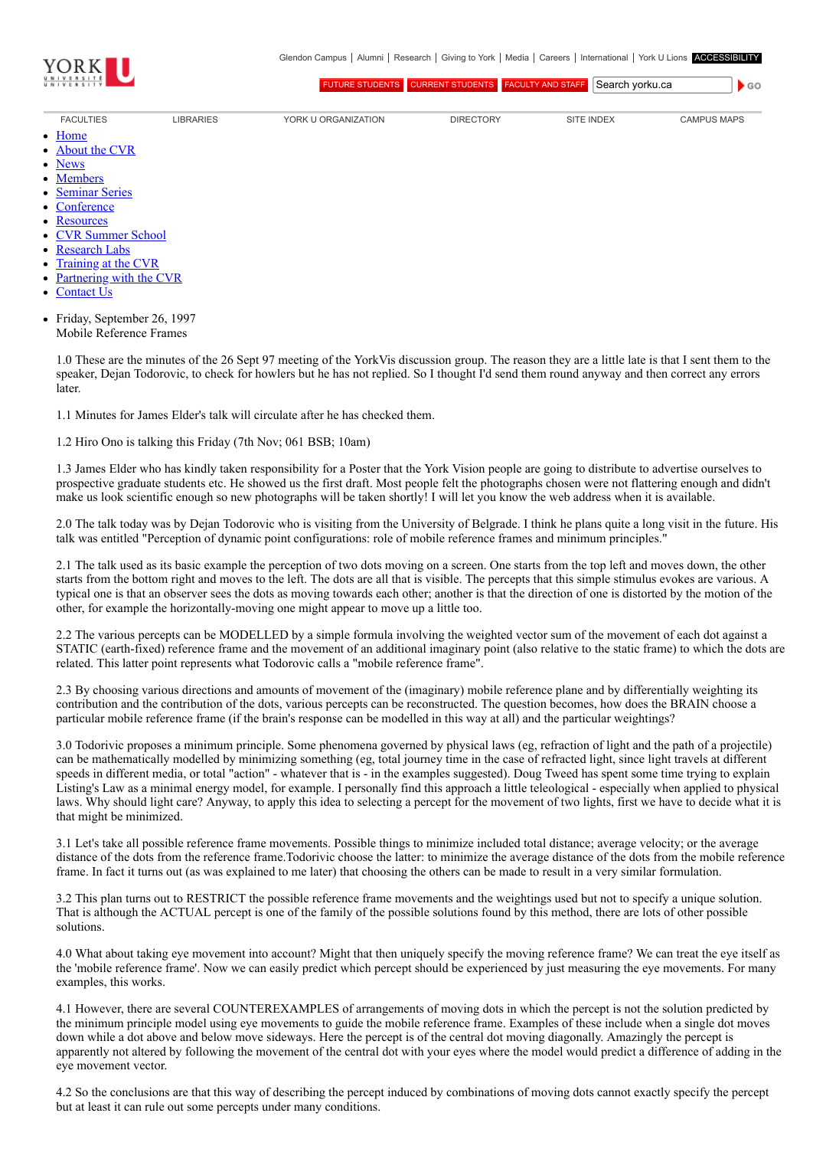

[FUTURE STUDENTS](http://futurestudents.yorku.ca/) [CURRENT STUDENTS](http://www.yorku.ca/yorkweb/cs.htm) [FACULTY AND STAFF](http://www.yorku.ca/yorkweb/fs.htm) Search vorku.ca

 $\bullet$  GO

- [FACULTIES](http://www.yorku.ca/yorkweb/faculties.htm) [LIBRARIES](http://www.library.yorku.ca/) [YORK U ORGANIZATION](http://www.yorku.ca/yorkweb/org.htm) [DIRECTORY](http://www.yorku.ca/yorkatlas) [SITE INDEX](http://www.yorku.ca/yorkweb/siteindex.htm) [CAMPUS MAPS](http://www.yorku.ca/yorkweb/maps/)
- $\bullet$ **[Home](file:///C:/)**
- [About the CVR](file:///C:/content/about-cvr)
- [News](file:///C:/newslatest)
- $\bullet$ **[Members](file:///C:/category/faculty/york-faculty)**
- [Seminar Series](file:///C:/content/seminar-series)  $\bullet$
- **[Conference](file:///C:/conferencearchive)**
- **[Resources](file:///C:/content/resources)**  $\bullet$
- [CVR Summer School](http://cvrss.info.yorku.ca/)
- [Research Labs](file:///C:/content/research-labs)
- [Training at the CVR](file:///C:/content/training-cvr-0)
- [Partnering with the CVR](file:///C:/content/partnering-cvr-0)  $\bullet$
- [Contact Us](file:///C:/content/contact-cvr)
- 
- Friday, September 26, 1997  $\bullet$ Mobile Reference Frames

1.0 These are the minutes of the 26 Sept 97 meeting of the YorkVis discussion group. The reason they are a little late is that I sent them to the speaker, Dejan Todorovic, to check for howlers but he has not replied. So I thought I'd send them round anyway and then correct any errors later.

1.1 Minutes for James Elder's talk will circulate after he has checked them.

1.2 Hiro Ono is talking this Friday (7th Nov; 061 BSB; 10am)

1.3 James Elder who has kindly taken responsibility for a Poster that the York Vision people are going to distribute to advertise ourselves to prospective graduate students etc. He showed us the first draft. Most people felt the photographs chosen were not flattering enough and didn't make us look scientific enough so new photographs will be taken shortly! I will let you know the web address when it is available.

2.0 The talk today was by Dejan Todorovic who is visiting from the University of Belgrade. I think he plans quite a long visit in the future. His talk was entitled "Perception of dynamic point configurations: role of mobile reference frames and minimum principles."

2.1 The talk used as its basic example the perception of two dots moving on a screen. One starts from the top left and moves down, the other starts from the bottom right and moves to the left. The dots are all that is visible. The percepts that this simple stimulus evokes are various. A typical one is that an observer sees the dots as moving towards each other; another is that the direction of one is distorted by the motion of the other, for example the horizontally-moving one might appear to move up a little too.

2.2 The various percepts can be MODELLED by a simple formula involving the weighted vector sum of the movement of each dot against a STATIC (earth-fixed) reference frame and the movement of an additional imaginary point (also relative to the static frame) to which the dots are related. This latter point represents what Todorovic calls a "mobile reference frame".

2.3 By choosing various directions and amounts of movement of the (imaginary) mobile reference plane and by differentially weighting its contribution and the contribution of the dots, various percepts can be reconstructed. The question becomes, how does the BRAIN choose a particular mobile reference frame (if the brain's response can be modelled in this way at all) and the particular weightings?

3.0 Todorivic proposes a minimum principle. Some phenomena governed by physical laws (eg, refraction of light and the path of a projectile) can be mathematically modelled by minimizing something (eg, total journey time in the case of refracted light, since light travels at different speeds in different media, or total "action" - whatever that is - in the examples suggested). Doug Tweed has spent some time trying to explain Listing's Law as a minimal energy model, for example. I personally find this approach a little teleological - especially when applied to physical laws. Why should light care? Anyway, to apply this idea to selecting a percept for the movement of two lights, first we have to decide what it is that might be minimized.

3.1 Let's take all possible reference frame movements. Possible things to minimize included total distance; average velocity; or the average distance of the dots from the reference frame.Todorivic choose the latter: to minimize the average distance of the dots from the mobile reference frame. In fact it turns out (as was explained to me later) that choosing the others can be made to result in a very similar formulation.

3.2 This plan turns out to RESTRICT the possible reference frame movements and the weightings used but not to specify a unique solution. That is although the ACTUAL percept is one of the family of the possible solutions found by this method, there are lots of other possible solutions.

4.0 What about taking eye movement into account? Might that then uniquely specify the moving reference frame? We can treat the eye itself as the 'mobile reference frame'. Now we can easily predict which percept should be experienced by just measuring the eye movements. For many examples, this works.

4.1 However, there are several COUNTEREXAMPLES of arrangements of moving dots in which the percept is not the solution predicted by the minimum principle model using eye movements to guide the mobile reference frame. Examples of these include when a single dot moves down while a dot above and below move sideways. Here the percept is of the central dot moving diagonally. Amazingly the percept is apparently not altered by following the movement of the central dot with your eyes where the model would predict a difference of adding in the eye movement vector.

4.2 So the conclusions are that this way of describing the percept induced by combinations of moving dots cannot exactly specify the percept but at least it can rule out some percepts under many conditions.